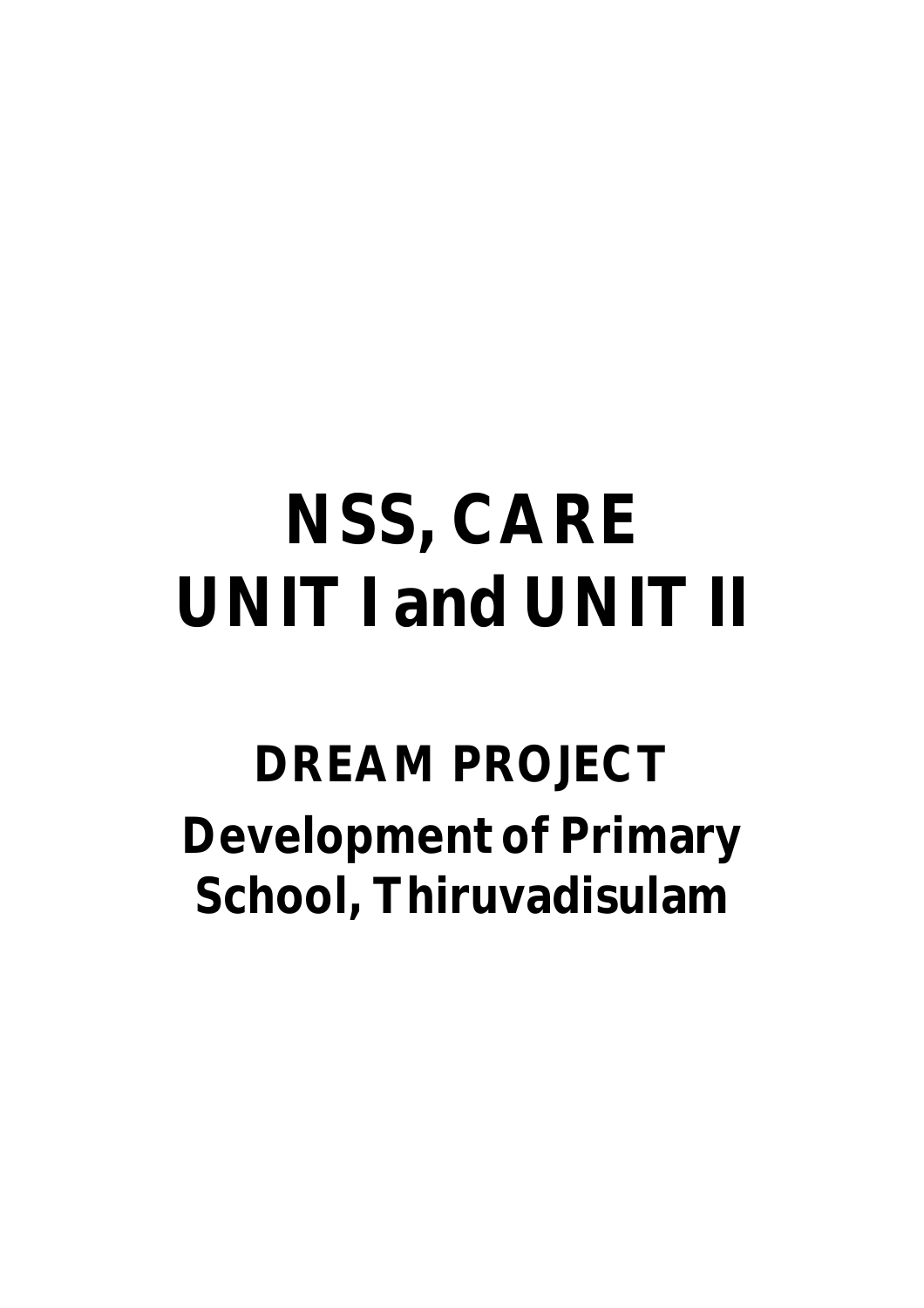# **NSS, CARE UNIT I and UNIT II**

## **DREAM PROJECT Development of Primary School, Thiruvadisulam**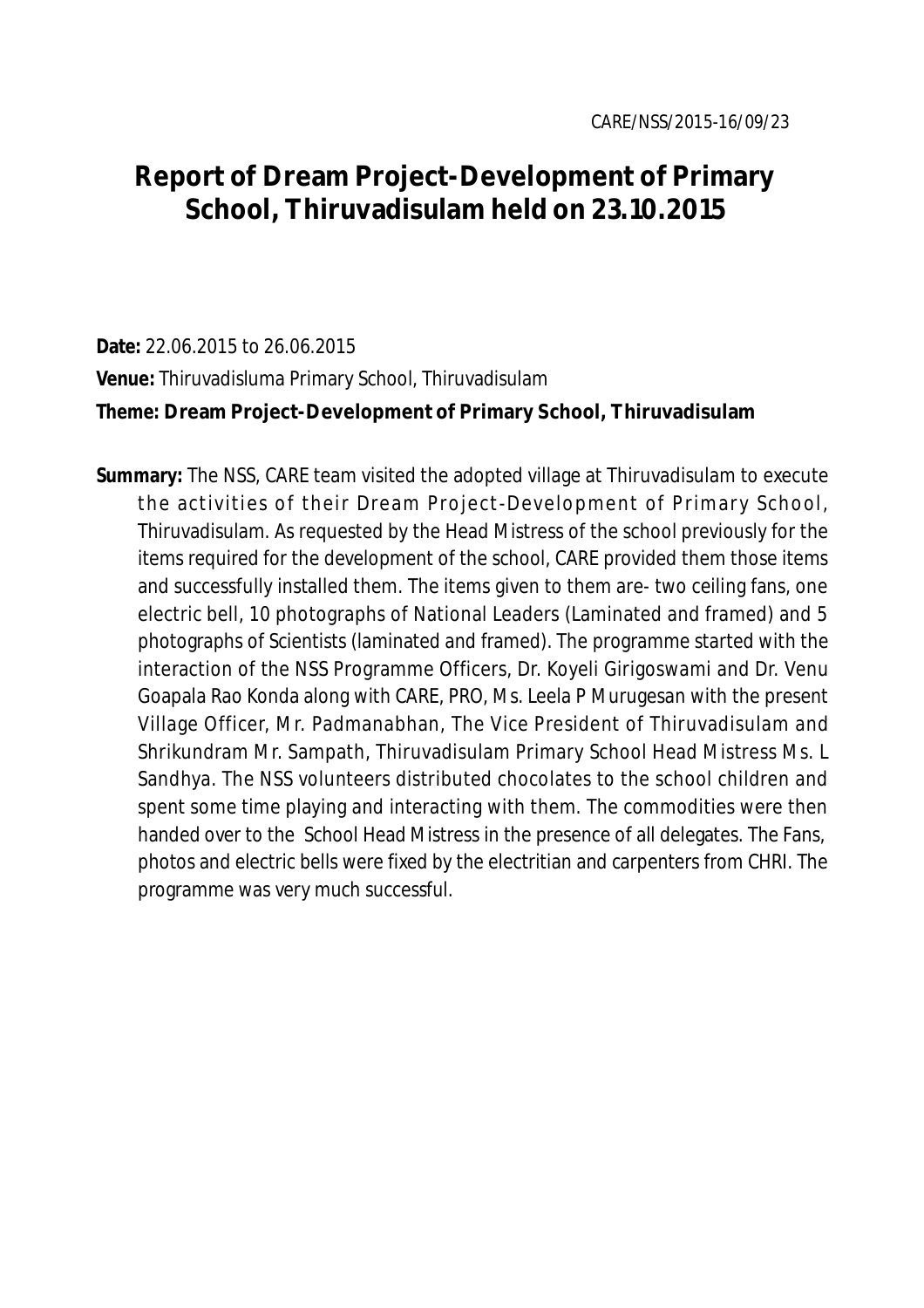### **Report of Dream Project-Development of Primary School, Thiruvadisulam held on 23.10.2015**

#### **Date:** 22.06.2015 to 26.06.2015

**Venue:** Thiruvadisluma Primary School, Thiruvadisulam

#### **Theme: Dream Project-Development of Primary School, Thiruvadisulam**

**Summary:** The NSS, CARE team visited the adopted village at Thiruvadisulam to execute the activities of their Dream Project-Development of Primary School, Thiruvadisulam. As requested by the Head Mistress of the school previously for the items required for the development of the school, CARE provided them those items and successfully installed them. The items given to them are- two ceiling fans, one electric bell, 10 photographs of National Leaders (Laminated and framed) and 5 photographs of Scientists (laminated and framed). The programme started with the interaction of the NSS Programme Officers, Dr. Koyeli Girigoswami and Dr. Venu Goapala Rao Konda along with CARE, PRO, Ms. Leela P Murugesan with the present Village Officer, Mr. Padmanabhan, The Vice President of Thiruvadisulam and Shrikundram Mr. Sampath, Thiruvadisulam Primary School Head Mistress Ms. L Sandhya. The NSS volunteers distributed chocolates to the school children and spent some time playing and interacting with them. The commodities were then handed over to the School Head Mistress in the presence of all delegates. The Fans, photos and electric bells were fixed by the electritian and carpenters from CHRI. The programme was very much successful.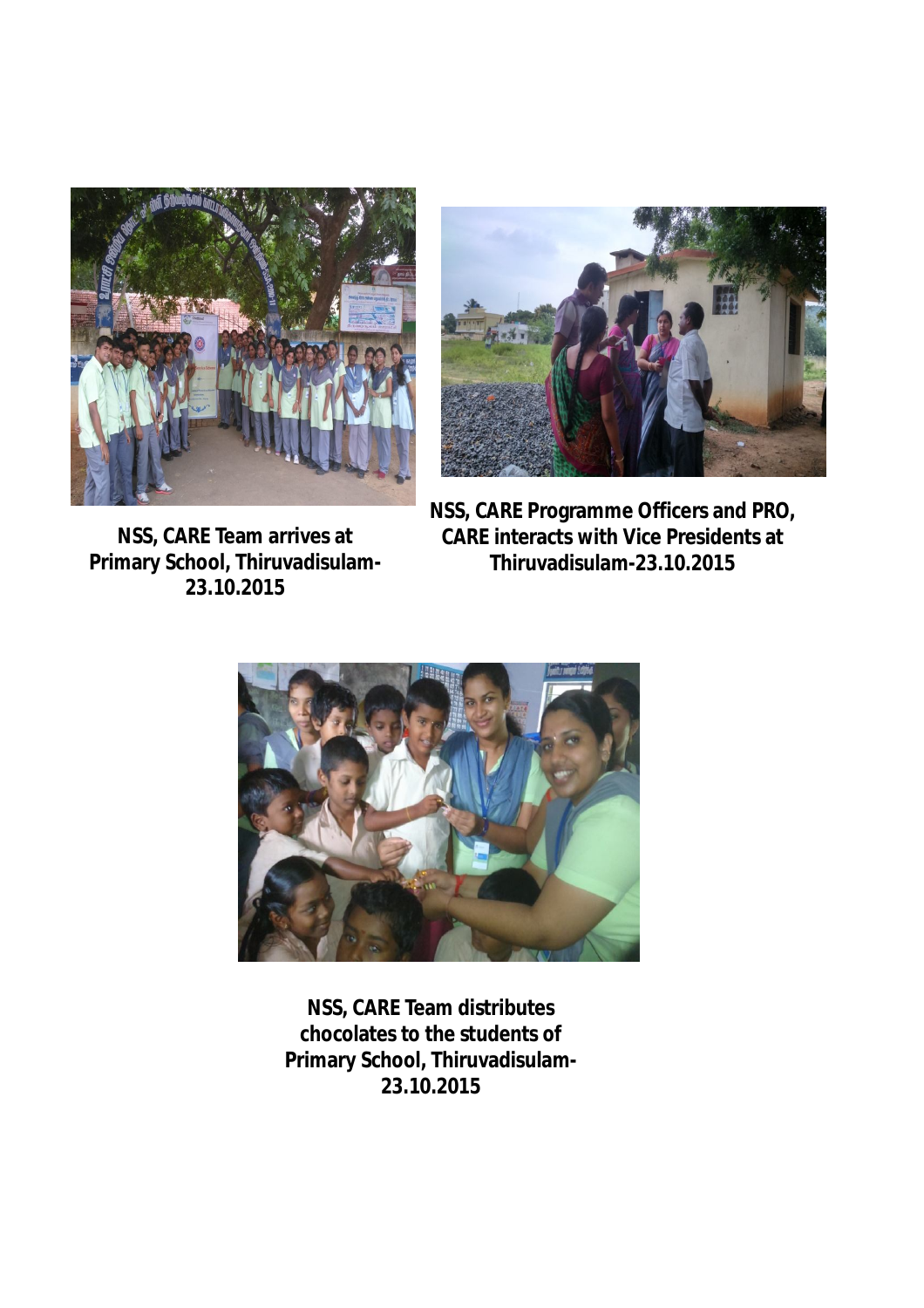

**NSS, CARE Team arrives at Primary School, Thiruvadisulam-23.10.2015**



**NSS, CARE Programme Officers and PRO, CARE interacts with Vice Presidents at Thiruvadisulam-23.10.2015**



**NSS, CARE Team distributes chocolates to the students of Primary School, Thiruvadisulam-23.10.2015**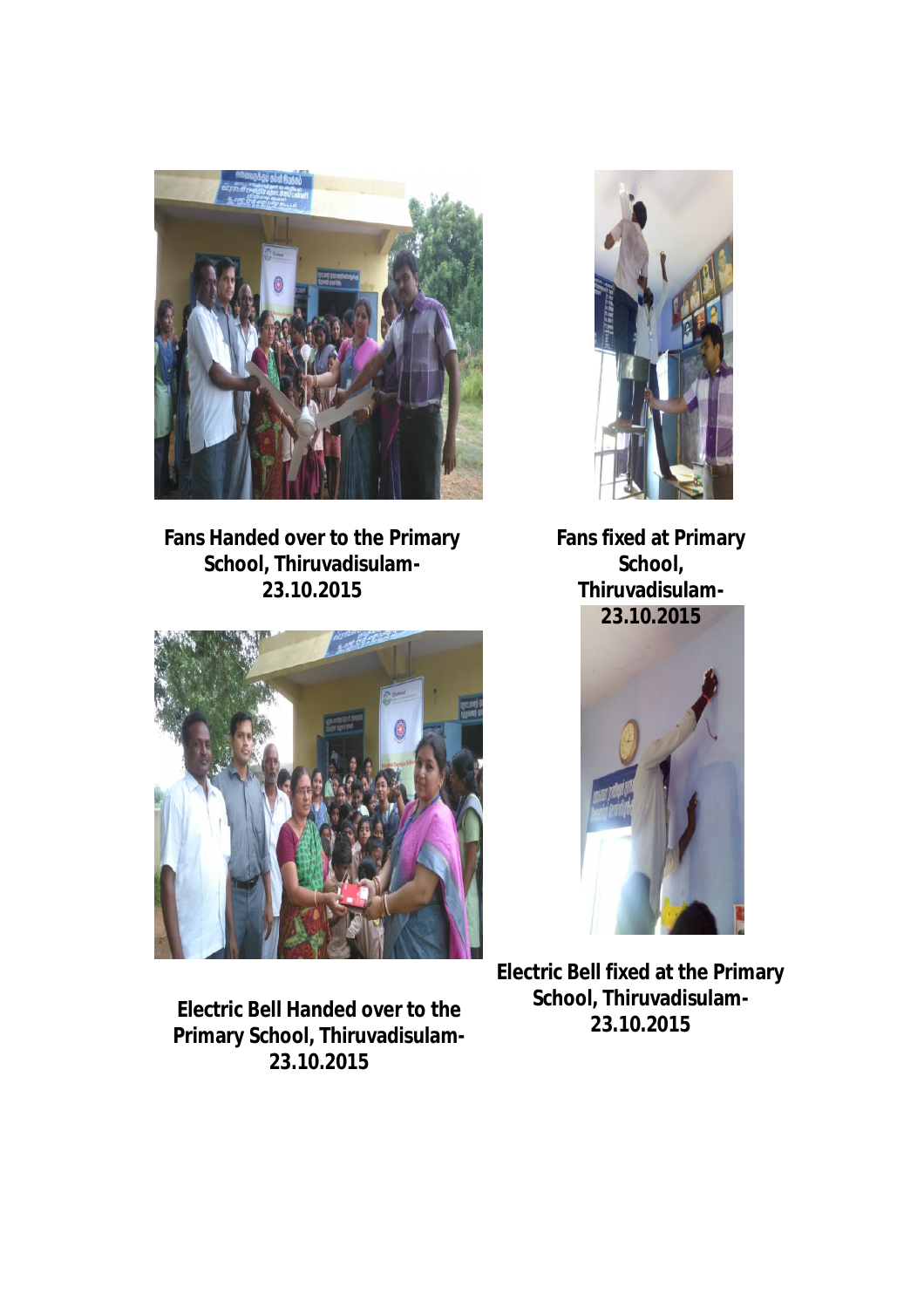

**Fans Handed over to the Primary School, Thiruvadisulam-23.10.2015**



**Electric Bell Handed over to the Primary School, Thiruvadisulam-23.10.2015**



**Fans fixed at Primary School, Thiruvadisulam-23.10.2015**



**Electric Bell fixed at the Primary School, Thiruvadisulam-23.10.2015**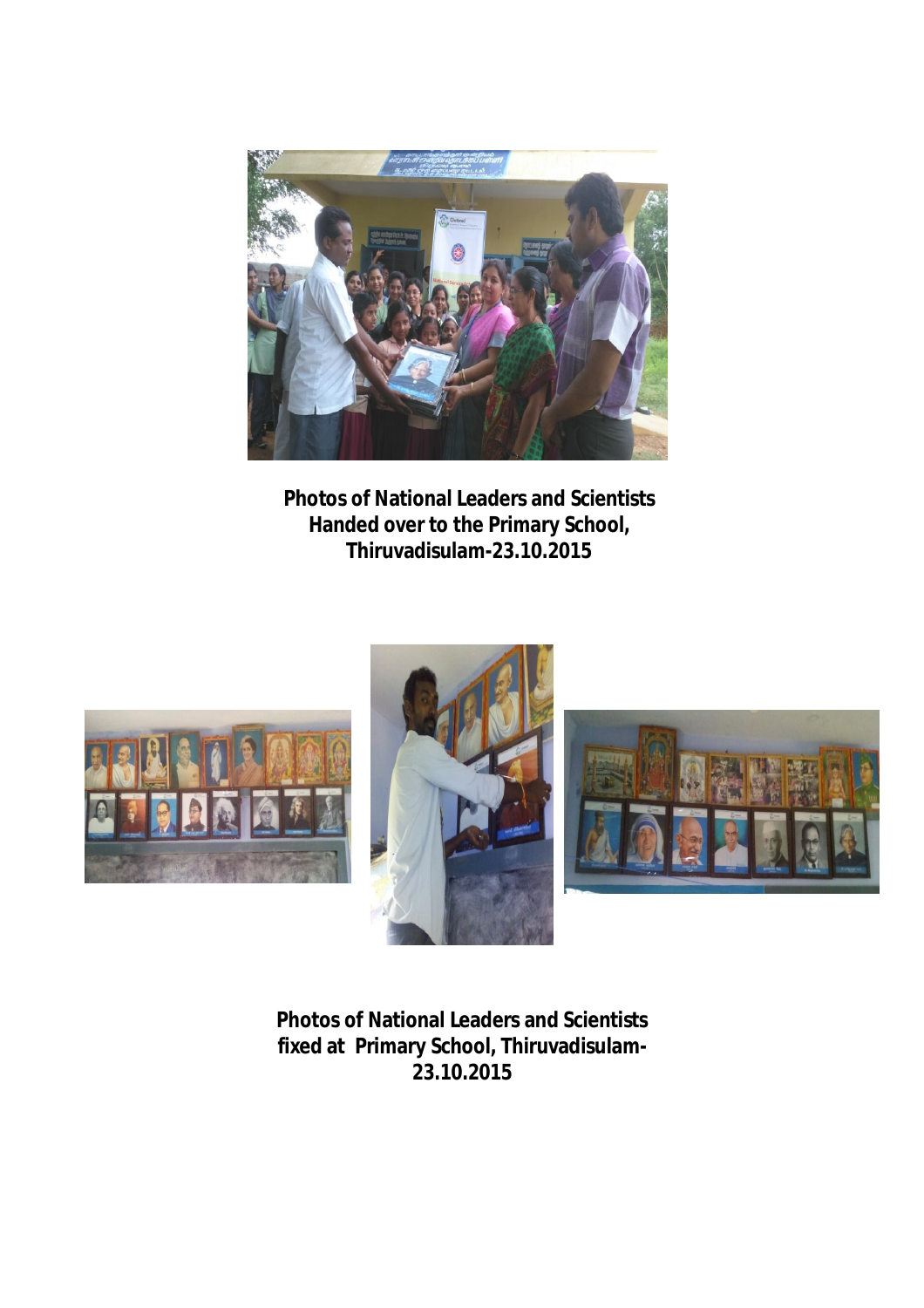

**Photos of National Leaders and Scientists Handed over to the Primary School, Thiruvadisulam-23.10.2015**







**Photos of National Leaders and Scientists fixed at Primary School, Thiruvadisulam-23.10.2015**